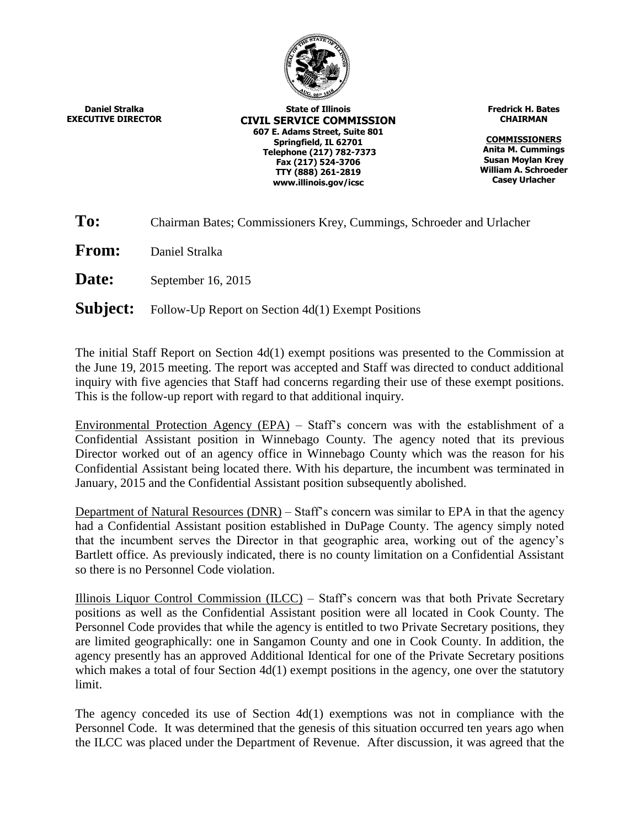

**Daniel Stralka EXECUTIVE DIRECTOR**

**State of Illinois CIVIL SERVICE COMMISSION 607 E. Adams Street, Suite 801 Springfield, IL 62701 Telephone (217) 782-7373 Fax (217) 524-3706 TTY (888) 261-2819 www.illinois.gov/icsc**

**Fredrick H. Bates CHAIRMAN**

**COMMISSIONERS Anita M. Cummings Susan Moylan Krey William A. Schroeder Casey Urlacher**

**To:** Chairman Bates; Commissioners Krey, Cummings, Schroeder and Urlacher

**From:** Daniel Stralka

**Date:** September 16, 2015

**Subject:** Follow-Up Report on Section 4d(1) Exempt Positions

The initial Staff Report on Section 4d(1) exempt positions was presented to the Commission at the June 19, 2015 meeting. The report was accepted and Staff was directed to conduct additional inquiry with five agencies that Staff had concerns regarding their use of these exempt positions. This is the follow-up report with regard to that additional inquiry.

Environmental Protection Agency (EPA) – Staff's concern was with the establishment of a Confidential Assistant position in Winnebago County. The agency noted that its previous Director worked out of an agency office in Winnebago County which was the reason for his Confidential Assistant being located there. With his departure, the incumbent was terminated in January, 2015 and the Confidential Assistant position subsequently abolished.

Department of Natural Resources (DNR) – Staff's concern was similar to EPA in that the agency had a Confidential Assistant position established in DuPage County. The agency simply noted that the incumbent serves the Director in that geographic area, working out of the agency's Bartlett office. As previously indicated, there is no county limitation on a Confidential Assistant so there is no Personnel Code violation.

Illinois Liquor Control Commission (ILCC) – Staff's concern was that both Private Secretary positions as well as the Confidential Assistant position were all located in Cook County. The Personnel Code provides that while the agency is entitled to two Private Secretary positions, they are limited geographically: one in Sangamon County and one in Cook County. In addition, the agency presently has an approved Additional Identical for one of the Private Secretary positions which makes a total of four Section  $4d(1)$  exempt positions in the agency, one over the statutory limit.

The agency conceded its use of Section 4d(1) exemptions was not in compliance with the Personnel Code. It was determined that the genesis of this situation occurred ten years ago when the ILCC was placed under the Department of Revenue. After discussion, it was agreed that the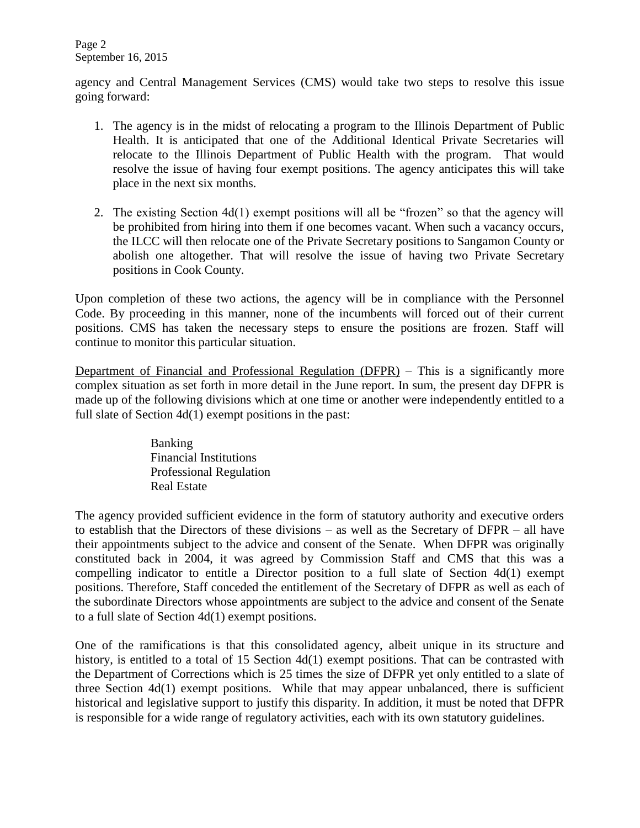Page 2 September 16, 2015

agency and Central Management Services (CMS) would take two steps to resolve this issue going forward:

- 1. The agency is in the midst of relocating a program to the Illinois Department of Public Health. It is anticipated that one of the Additional Identical Private Secretaries will relocate to the Illinois Department of Public Health with the program. That would resolve the issue of having four exempt positions. The agency anticipates this will take place in the next six months.
- 2. The existing Section 4d(1) exempt positions will all be "frozen" so that the agency will be prohibited from hiring into them if one becomes vacant. When such a vacancy occurs, the ILCC will then relocate one of the Private Secretary positions to Sangamon County or abolish one altogether. That will resolve the issue of having two Private Secretary positions in Cook County.

Upon completion of these two actions, the agency will be in compliance with the Personnel Code. By proceeding in this manner, none of the incumbents will forced out of their current positions. CMS has taken the necessary steps to ensure the positions are frozen. Staff will continue to monitor this particular situation.

Department of Financial and Professional Regulation (DFPR) – This is a significantly more complex situation as set forth in more detail in the June report. In sum, the present day DFPR is made up of the following divisions which at one time or another were independently entitled to a full slate of Section 4d(1) exempt positions in the past:

> Banking Financial Institutions Professional Regulation Real Estate

The agency provided sufficient evidence in the form of statutory authority and executive orders to establish that the Directors of these divisions – as well as the Secretary of DFPR – all have their appointments subject to the advice and consent of the Senate. When DFPR was originally constituted back in 2004, it was agreed by Commission Staff and CMS that this was a compelling indicator to entitle a Director position to a full slate of Section 4d(1) exempt positions. Therefore, Staff conceded the entitlement of the Secretary of DFPR as well as each of the subordinate Directors whose appointments are subject to the advice and consent of the Senate to a full slate of Section 4d(1) exempt positions.

One of the ramifications is that this consolidated agency, albeit unique in its structure and history, is entitled to a total of 15 Section 4d(1) exempt positions. That can be contrasted with the Department of Corrections which is 25 times the size of DFPR yet only entitled to a slate of three Section 4d(1) exempt positions. While that may appear unbalanced, there is sufficient historical and legislative support to justify this disparity. In addition, it must be noted that DFPR is responsible for a wide range of regulatory activities, each with its own statutory guidelines.